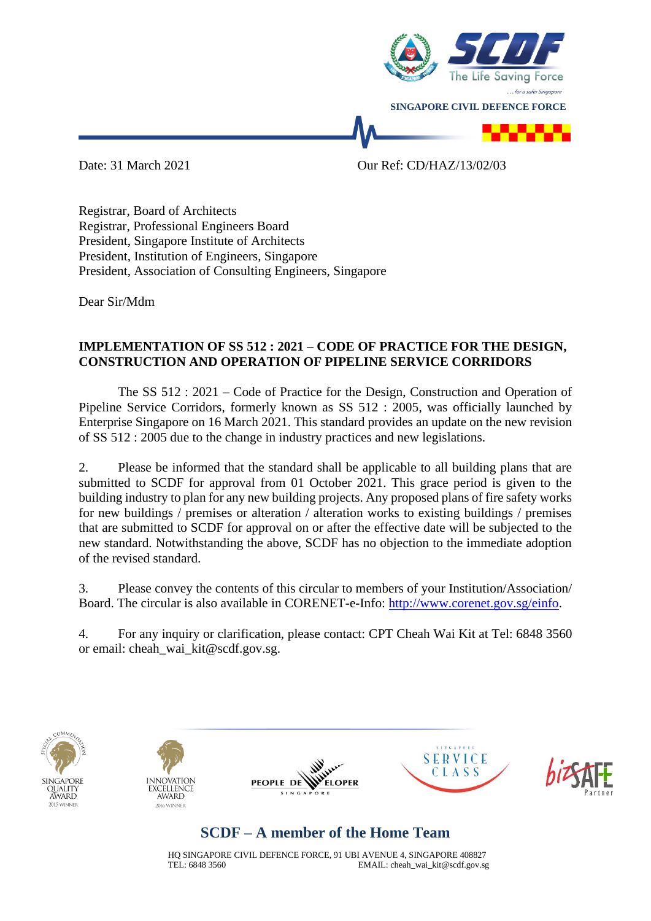

Date: 31 March 2021 Our Ref: CD/HAZ/13/02/03

Registrar, Board of Architects Registrar, Professional Engineers Board President, Singapore Institute of Architects President, Institution of Engineers, Singapore President, Association of Consulting Engineers, Singapore

Dear Sir/Mdm

## **IMPLEMENTATION OF SS 512 : 2021 – CODE OF PRACTICE FOR THE DESIGN, CONSTRUCTION AND OPERATION OF PIPELINE SERVICE CORRIDORS**

The SS 512 : 2021 – Code of Practice for the Design, Construction and Operation of Pipeline Service Corridors, formerly known as SS 512 : 2005, was officially launched by Enterprise Singapore on 16 March 2021. This standard provides an update on the new revision of SS 512 : 2005 due to the change in industry practices and new legislations.

2. Please be informed that the standard shall be applicable to all building plans that are submitted to SCDF for approval from 01 October 2021. This grace period is given to the building industry to plan for any new building projects. Any proposed plans of fire safety works for new buildings / premises or alteration / alteration works to existing buildings / premises that are submitted to SCDF for approval on or after the effective date will be subjected to the new standard. Notwithstanding the above, SCDF has no objection to the immediate adoption of the revised standard.

3. Please convey the contents of this circular to members of your Institution/Association/ Board. The circular is also available in CORENET-e-Info: [http://www.corenet.gov.sg/einfo.](http://www.corenet.gov.sg/einfo)

4. For any inquiry or clarification, please contact: CPT Cheah Wai Kit at Tel: 6848 3560 or email: cheah\_wai\_kit@scdf.gov.sg.











## **SCDF – A member of the Home Team**

HQ SINGAPORE CIVIL DEFENCE FORCE, 91 UBI AVENUE 4, SINGAPORE 408827 TEL: 6848 3560 EMAIL: cheah\_wai\_kit@scdf.gov.sg